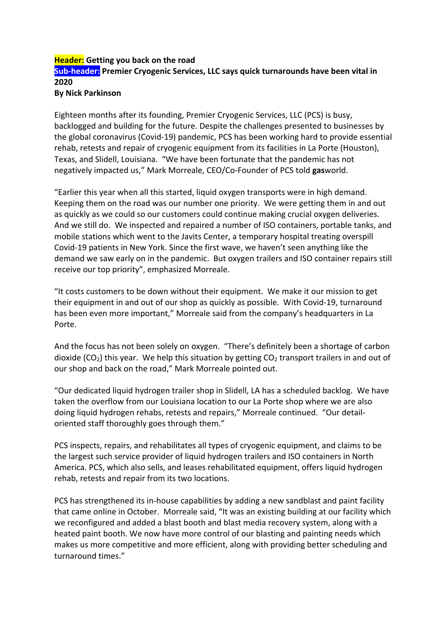## **Header:** Getting you back on the road **Sub-header:** Premier Cryogenic Services, LLC says quick turnarounds have been vital in **2020**

## **By Nick Parkinson**

Eighteen months after its founding, Premier Cryogenic Services, LLC (PCS) is busy, backlogged and building for the future. Despite the challenges presented to businesses by the global coronavirus (Covid-19) pandemic, PCS has been working hard to provide essential rehab, retests and repair of cryogenic equipment from its facilities in La Porte (Houston), Texas, and Slidell, Louisiana. "We have been fortunate that the pandemic has not negatively impacted us," Mark Morreale, CEO/Co-Founder of PCS told gasworld.

"Earlier this year when all this started, liquid oxygen transports were in high demand. Keeping them on the road was our number one priority. We were getting them in and out as quickly as we could so our customers could continue making crucial oxygen deliveries. And we still do. We inspected and repaired a number of ISO containers, portable tanks, and mobile stations which went to the Javits Center, a temporary hospital treating overspill Covid-19 patients in New York. Since the first wave, we haven't seen anything like the demand we saw early on in the pandemic. But oxygen trailers and ISO container repairs still receive our top priority", emphasized Morreale.

"It costs customers to be down without their equipment. We make it our mission to get their equipment in and out of our shop as quickly as possible. With Covid-19, turnaround has been even more important," Morreale said from the company's headquarters in La Porte. 

And the focus has not been solely on oxygen. "There's definitely been a shortage of carbon dioxide  $(CO_2)$  this year. We help this situation by getting  $CO_2$  transport trailers in and out of our shop and back on the road," Mark Morreale pointed out.

"Our dedicated liquid hydrogen trailer shop in Slidell, LA has a scheduled backlog. We have taken the overflow from our Louisiana location to our La Porte shop where we are also doing liquid hydrogen rehabs, retests and repairs," Morreale continued. "Our detailoriented staff thoroughly goes through them."

PCS inspects, repairs, and rehabilitates all types of cryogenic equipment, and claims to be the largest such service provider of liquid hydrogen trailers and ISO containers in North America. PCS, which also sells, and leases rehabilitated equipment, offers liquid hydrogen rehab, retests and repair from its two locations.

PCS has strengthened its in-house capabilities by adding a new sandblast and paint facility that came online in October. Morreale said, "It was an existing building at our facility which we reconfigured and added a blast booth and blast media recovery system, along with a heated paint booth. We now have more control of our blasting and painting needs which makes us more competitive and more efficient, along with providing better scheduling and turnaround times."